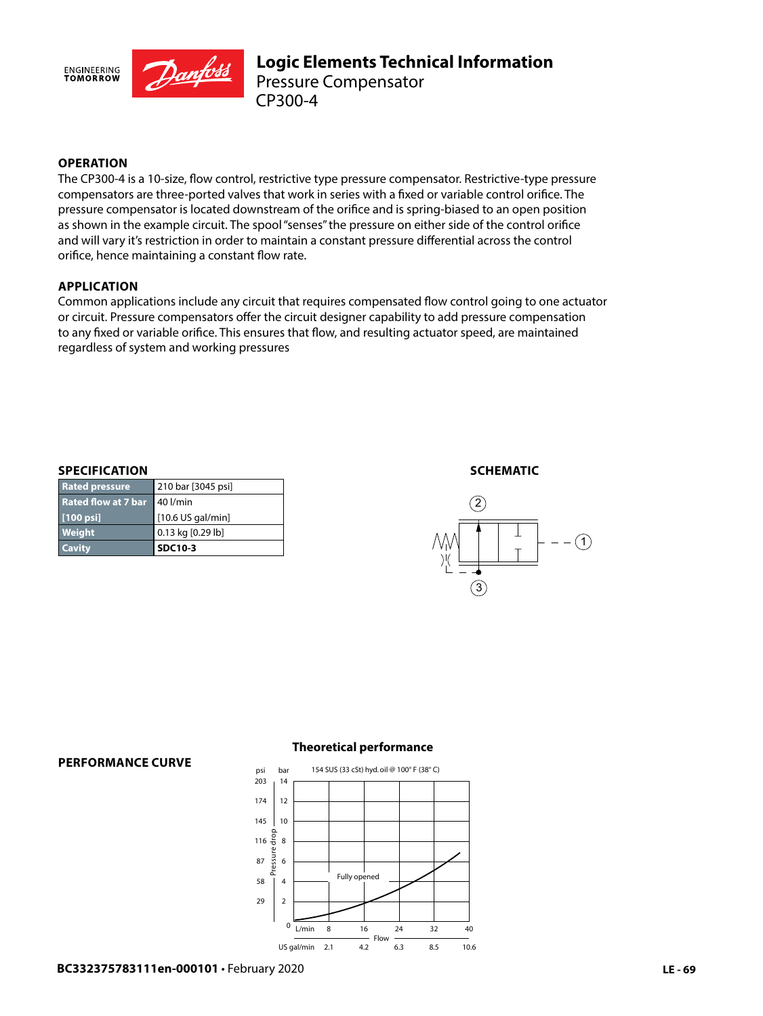

## **OPERATION**

The CP300-4 is a 10-size, flow control, restrictive type pressure compensator. Restrictive-type pressure compensators are three-ported valves that work in series with a fixed or variable control orifice. The pressure compensator is located downstream of the orifice and is spring-biased to an open position as shown in the example circuit. The spool "senses" the pressure on either side of the control orifice and will vary it's restriction in order to maintain a constant pressure differential across the control orifice, hence maintaining a constant flow rate.

### **APPLICATION**

Common applications include any circuit that requires compensated flow control going to one actuator or circuit. Pressure compensators offer the circuit designer capability to add pressure compensation to any fixed or variable orifice. This ensures that flow, and resulting actuator speed, are maintained regardless of system and working pressures

#### **SPECIFICATION**

| <b>Cavity</b>                | <b>SDC10-3</b>     |
|------------------------------|--------------------|
| <b>Weight</b>                | 0.13 kg [0.29 lb]  |
| $[100 \text{ psi}]$          | [10.6 US gal/min]  |
| Rated flow at 7 bar 40 l/min |                    |
| <b>Rated pressure</b>        | 210 bar [3045 psi] |

#### **SCHEMATIC**



#### **PERFORMANCE CURVE**

#### **Theoretical performance**